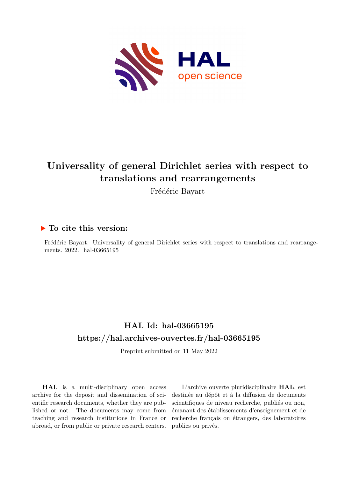

# **Universality of general Dirichlet series with respect to translations and rearrangements**

Frédéric Bayart

## **To cite this version:**

Frédéric Bayart. Universality of general Dirichlet series with respect to translations and rearrangements. 2022. hal-03665195

## **HAL Id: hal-03665195 <https://hal.archives-ouvertes.fr/hal-03665195>**

Preprint submitted on 11 May 2022

**HAL** is a multi-disciplinary open access archive for the deposit and dissemination of scientific research documents, whether they are published or not. The documents may come from teaching and research institutions in France or abroad, or from public or private research centers.

L'archive ouverte pluridisciplinaire **HAL**, est destinée au dépôt et à la diffusion de documents scientifiques de niveau recherche, publiés ou non, émanant des établissements d'enseignement et de recherche français ou étrangers, des laboratoires publics ou privés.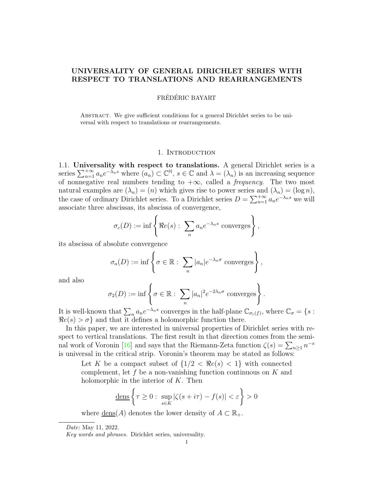## UNIVERSALITY OF GENERAL DIRICHLET SERIES WITH RESPECT TO TRANSLATIONS AND REARRANGEMENTS

## FRÉDÉRIC BAYART

Abstract. We give sufficient conditions for a general Dirichlet series to be universal with respect to translations or rearrangements.

#### 1. INTRODUCTION

1.1. Universality with respect to translations. A general Dirichlet series is a series  $\sum_{n=1}^{+\infty} a_n e^{-\lambda_n s}$  where  $(a_n) \subset \mathbb{C}^{\mathbb{N}}, s \in \mathbb{C}$  and  $\lambda = (\lambda_n)$  is an increasing sequence of nonnegative real numbers tending to  $+\infty$ , called a *frequency*. The two most natural examples are  $(\lambda_n) = (n)$  which gives rise to power series and  $(\lambda_n) = (\log n)$ , the case of ordinary Dirichlet series. To a Dirichlet series  $D = \sum_{n=1}^{+\infty} a_n e^{-\lambda_n s}$  we will associate three abscissas, its abscissa of convergence,

$$
\sigma_c(D) := \inf \left\{ \Re e(s) : \sum_n a_n e^{-\lambda_n s} \text{ converges} \right\},\,
$$

its abscissa of absolute convergence

$$
\sigma_a(D) := \inf \left\{ \sigma \in \mathbb{R} : \sum_n |a_n| e^{-\lambda_n \sigma} \text{ converges} \right\},\,
$$

and also

$$
\sigma_2(D) := \inf \left\{ \sigma \in \mathbb{R} : \sum_n |a_n|^2 e^{-2\lambda_n \sigma} \text{ converges} \right\}.
$$

It is well-known that  $\sum_n a_n e^{-\lambda_n s}$  converges in the half-plane  $\mathbb{C}_{\sigma_c(f)}$ , where  $\mathbb{C}_{\sigma} = \{s :$  $\Re e(s) > \sigma$  and that it defines a holomorphic function there.

In this paper, we are interested in universal properties of Dirichlet series with respect to vertical translations. The first result in that direction comes from the seminal work of Voronin [16] and says that the Riemann-Zeta function  $\zeta(s) = \sum_{n \geq 1} n^{-s}$ is universal in the critical strip. Voronin's theorem may be stated as follows:

Let K be a compact subset of  $\{1/2 \, \leq \, \Re\epsilon(s) \, \leq \, 1\}$  with connected complement, let f be a non-vanishing function continuous on  $K$  and holomorphic in the interior of  $K$ . Then

$$
\underline{\text{dens}}\left\{\tau \ge 0: \sup_{s \in K} |\zeta(s+i\tau) - f(s)| < \varepsilon\right\} > 0
$$

where  $\underline{\text{dens}}(A)$  denotes the lower density of  $A \subset \mathbb{R}_+$ .

Date: May 11, 2022.

Key words and phrases. Dirichlet series, universality.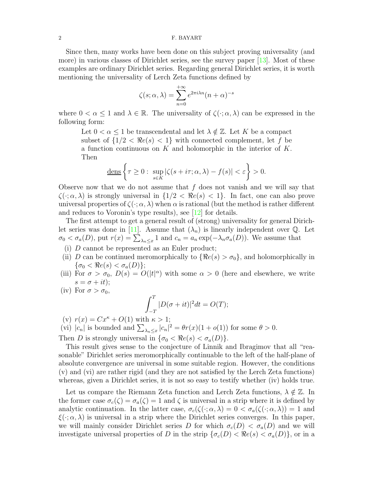Since then, many works have been done on this subject proving universality (and more) in various classes of Dirichlet series, see the survey paper [13]. Most of these examples are ordinary Dirichlet series. Regarding general Dirichlet series, it is worth mentioning the universality of Lerch Zeta functions defined by

$$
\zeta(s;\alpha,\lambda) = \sum_{n=0}^{+\infty} e^{2\pi i \lambda n} (n+\alpha)^{-s}
$$

where  $0 < \alpha \leq 1$  and  $\lambda \in \mathbb{R}$ . The universality of  $\zeta(\cdot; \alpha, \lambda)$  can be expressed in the following form:

Let  $0 < \alpha \leq 1$  be transcendental and let  $\lambda \notin \mathbb{Z}$ . Let K be a compact subset of  $\{1/2 < \Re e(s) < 1\}$  with connected complement, let f be a function continuous on K and holomorphic in the interior of K. Then

$$
\underline{\text{dens}}\left\{\tau\geq 0:\ \sup_{s\in K}|\zeta(s+i\tau;\alpha,\lambda)-f(s)|<\varepsilon\right\}>0.
$$

Observe now that we do not assume that  $f$  does not vanish and we will say that  $\zeta(\cdot;\alpha,\lambda)$  is strongly universal in  $\{1/2 \langle \Re e(s) \rangle \langle 1 \rangle\}$ . In fact, one can also prove universal properties of  $\zeta(\cdot;\alpha,\lambda)$  when  $\alpha$  is rational (but the method is rather different and reduces to Voronin's type results), see [12] for details.

The first attempt to get a general result of (strong) universality for general Dirichlet series was done in [11]. Assume that  $(\lambda_n)$  is linearly independent over Q. Let  $\sigma_0 < \sigma_a(D)$ , put  $r(x) = \sum_{\lambda_n \leq x} 1$  and  $c_n = a_n \exp(-\lambda_n \sigma_a(D))$ . We assume that

- (i) D cannot be represented as an Euler product;
- (ii) D can be continued meromorphically to  $\{\Re e(s) > \sigma_0\}$ , and holomorphically in  $\{\sigma_0 < \Re e(s) < \sigma_a(D)\};$
- (iii) For  $\sigma > \sigma_0$ ,  $D(s) = O(|t|^{\alpha})$  with some  $\alpha > 0$  (here and elsewhere, we write  $s = \sigma + it);$
- (iv) For  $\sigma > \sigma_0$ ,

$$
\int_{-T}^{T} |D(\sigma + it)|^2 dt = O(T);
$$

(v)  $r(x) = Cx^{\kappa} + O(1)$  with  $\kappa > 1$ ;

(vi)  $|c_n|$  is bounded and  $\sum_{\lambda_n \leq x} |c_n|^2 = \theta r(x) (1 + o(1))$  for some  $\theta > 0$ .

Then D is strongly universal in  $\{\sigma_0 < \Re e(s) < \sigma_a(D)\}.$ 

This result gives sense to the conjecture of Linnik and Ibragimov that all "reasonable" Dirichlet series meromorphically continuable to the left of the half-plane of absolute convergence are universal in some suitable region. However, the conditions (v) and (vi) are rather rigid (and they are not satisfied by the Lerch Zeta functions) whereas, given a Dirichlet series, it is not so easy to testify whether (iv) holds true.

Let us compare the Riemann Zeta function and Lerch Zeta functions,  $\lambda \notin \mathbb{Z}$ . In the former case  $\sigma_c(\zeta) = \sigma_a(\zeta) = 1$  and  $\zeta$  is universal in a strip where it is defined by analytic continuation. In the latter case,  $\sigma_c(\zeta(\cdot; \alpha, \lambda) = 0 < \sigma_a(\zeta(\cdot; \alpha, \lambda)) = 1$  and  $\xi(\cdot;\alpha,\lambda)$  is universal in a strip where the Dirichlet series converges. In this paper, we will mainly consider Dirichlet series D for which  $\sigma_c(D) < \sigma_a(D)$  and we will investigate universal properties of D in the strip  $\{\sigma_c(D) < \Re\epsilon(s) < \sigma_a(D)\}\)$ , or in a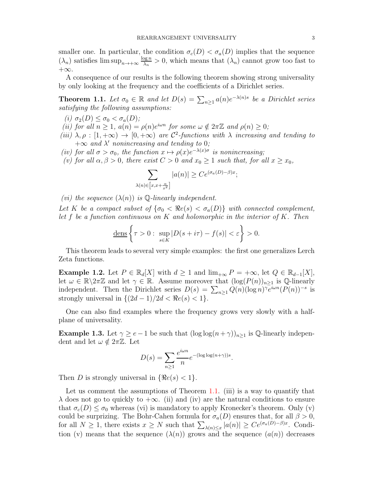smaller one. In particular, the condition  $\sigma_c(D) < \sigma_a(D)$  implies that the sequence  $(\lambda_n)$  satisfies  $\limsup_{n\to+\infty}\frac{\log n}{\lambda_n}$  $\frac{\log n}{\lambda_n} > 0$ , which means that  $(\lambda_n)$  cannot grow too fast to  $+\infty$ .

A consequence of our results is the following theorem showing strong universality by only looking at the frequency and the coefficients of a Dirichlet series.

**Theorem 1.1.** Let  $\sigma_0 \in \mathbb{R}$  and let  $D(s) = \sum_{n \geq 1} a(n) e^{-\lambda(n)s}$  be a Dirichlet series satisfying the following assumptions:

- (i)  $\sigma_2(D) \leq \sigma_0 < \sigma_a(D)$ ;
- (ii) for all  $n \geq 1$ ,  $a(n) = \rho(n)e^{i\omega n}$  for some  $\omega \notin 2\pi \mathbb{Z}$  and  $\rho(n) \geq 0$ ;
- (iii)  $\lambda, \rho : [1, +\infty) \to [0, +\infty)$  are C<sup>2</sup>-functions with  $\lambda$  increasing and tending to  $+\infty$  and  $\lambda'$  nonincreasing and tending to 0;
- (iv) for all  $\sigma > \sigma_0$ , the function  $x \mapsto \rho(x)e^{-\lambda(x)\sigma}$  is nonincreasing;
- (v) for all  $\alpha, \beta > 0$ , there exist  $C > 0$  and  $x_0 \ge 1$  such that, for all  $x \ge x_0$ ,

$$
\sum_{\lambda(n)\in\left[x,x+\frac{\alpha}{x^2}\right]} |a(n)| \ge Ce^{(\sigma_a(D)-\beta)x};
$$

(vi) the sequence  $(\lambda(n))$  is  $\mathbb Q$ -linearly independent.

Let K be a compact subset of  $\{\sigma_0 \prec \Re e(s) \prec \sigma_a(D)\}\$  with connected complement, let  $f$  be a function continuous on  $K$  and holomorphic in the interior of  $K$ . Then

$$
\underline{\text{dens}}\left\{\tau>0:\sup_{s\in K}|D(s+i\tau)-f(s)|<\varepsilon\right\}>0.
$$

This theorem leads to several very simple examples: the first one generalizes Lerch Zeta functions.

**Example 1.2.** Let  $P \in \mathbb{R}_d[X]$  with  $d \geq 1$  and  $\lim_{+\infty} P = +\infty$ , let  $Q \in \mathbb{R}_{d-1}[X]$ , let  $\omega \in \mathbb{R} \backslash 2\pi\mathbb{Z}$  and let  $\gamma \in \mathbb{R}$ . Assume moreover that  $(\log(P(n))_{n>1}$  is Q-linearly independent. Then the Dirichlet series  $D(s) = \sum_{n\geq 1} Q(n) (\log n)^{\gamma} e^{i\omega n} (P(n))^{-s}$  is strongly universal in  $\{(2d-1)/2d < \Re e(s) < 1\}.$ 

One can also find examples where the frequency grows very slowly with a halfplane of universality.

**Example 1.3.** Let  $\gamma \ge e-1$  be such that  $(\log \log(n+\gamma))_{n\ge 1}$  is Q-linearly independent and let  $\omega \notin 2\pi \mathbb{Z}$ . Let

$$
D(s) = \sum_{n\geq 1} \frac{e^{i\omega n}}{n} e^{-(\log \log(n+\gamma))s}.
$$

Then D is strongly universal in  $\{\Re e(s) < 1\}.$ 

Let us comment the assumptions of Theorem 1.1. (iii) is a way to quantify that  $\lambda$  does not go to quickly to  $+\infty$ . (ii) and (iv) are the natural conditions to ensure that  $\sigma_c(D) \leq \sigma_0$  whereas (vi) is mandatory to apply Kronecker's theorem. Only (v) could be surprizing. The Bohr-Cahen formula for  $\sigma_a(D)$  ensures that, for all  $\beta > 0$ , for all  $N \geq 1$ , there exists  $x \geq N$  such that  $\sum_{\lambda(n)\leq x} |a(n)| \geq Ce^{(\sigma_a(D)-\beta)x}$ . Condition (v) means that the sequence  $(\lambda(n))$  grows and the sequence  $(a(n))$  decreases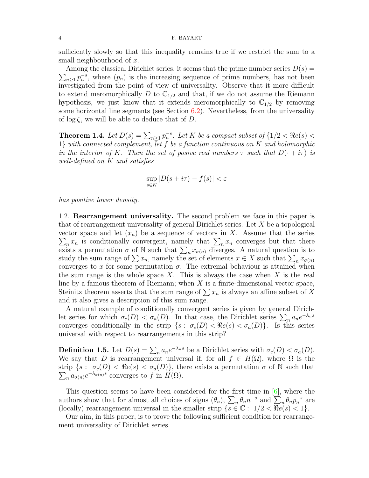sufficiently slowly so that this inequality remains true if we restrict the sum to a small neighbourhood of x.

 $\sum_{n\geq 1} p_n^{-s}$ , where  $(p_n)$  is the increasing sequence of prime numbers, has not been Among the classical Dirichlet series, it seems that the prime number series  $D(s)$  = investigated from the point of view of universality. Observe that it more difficult to extend meromorphically D to  $\mathbb{C}_{1/2}$  and that, if we do not assume the Riemann hypothesis, we just know that it extends meromorphically to  $\mathbb{C}_{1/2}$  by removing some horizontal line segments (see Section 6.2). Nevertheless, from the universality of  $\log \zeta$ , we will be able to deduce that of D.

**Theorem 1.4.** Let  $D(s) = \sum_{n \geq 1} p_n^{-s}$ . Let K be a compact subset of  $\{1/2 < \Re e(s) < \Re e(s) \}$  $1$  with connected complement, let f be a function continuous on K and holomorphic in the interior of K. Then the set of posive real numbers  $\tau$  such that  $D(\cdot + i\tau)$  is well-defined on K and satisfies

$$
\sup_{s \in K} |D(s + i\tau) - f(s)| < \varepsilon
$$

has positive lower density.

1.2. **Rearrangement universality.** The second problem we face in this paper is that of rearrangement universality of general Dirichlet series. Let X be a topological vector space and let  $(x_n)$  be a sequence of vectors in X. Assume that the series  $\sum_{n} x_n$  is conditionally convergent, namely that  $\sum_{n} x_n$  converges but that there exists a permutation  $\sigma$  of N such that  $\sum_{n} x_{\sigma(n)}$  diverges. A natural question is to study the sum range of  $\sum x_n$ , namely the set of elements  $x \in X$  such that  $\sum_n x_{\sigma(n)}$ converges to x for some permutation  $\sigma$ . The extremal behaviour is attained when the sum range is the whole space X. This is always the case when X is the real line by a famous theorem of Riemann; when  $X$  is a finite-dimensional vector space, Steinitz theorem asserts that the sum range of  $\sum x_n$  is always an affine subset of X and it also gives a description of this sum range.

A natural example of conditionally convergent series is given by general Dirichlet series for which  $\sigma_c(D) < \sigma_a(D)$ . In that case, the Dirichlet series  $\sum_n a_n e^{-\lambda_n s}$ converges conditionally in the strip  $\{s : \sigma_c(D) < \Re e(s) < \sigma_a(D)\}\$ . Is this series universal with respect to rearrangements in this strip?

**Definition 1.5.** Let  $D(s) = \sum_n a_n e^{-\lambda_n s}$  be a Dirichlet series with  $\sigma_c(D) < \sigma_a(D)$ . We say that D is rearrangement universal if, for all  $f \in H(\Omega)$ , where  $\Omega$  is the strip  $\{s: \sigma_c(D) < \Re e(s) < \sigma_a(D)\}\$ , there exists a permutation  $\sigma$  of N such that  $\sum_n a_{\sigma(n)} e^{-\lambda_{\sigma(n)} s}$  converges to f in  $H(\Omega)$ .

This question seems to have been considered for the first time in [6], where the authors show that for almost all choices of signs  $(\theta_n)$ ,  $\sum_n \theta_n n^{-s}$  and  $\sum_n \theta_n p_n^{-s}$  are (locally) rearrangement universal in the smaller strip  $\{s \in \mathbb{C} : 1/2 < \Re e(s) < 1\}.$ 

Our aim, in this paper, is to prove the following sufficient condition for rearrangement universality of Dirichlet series.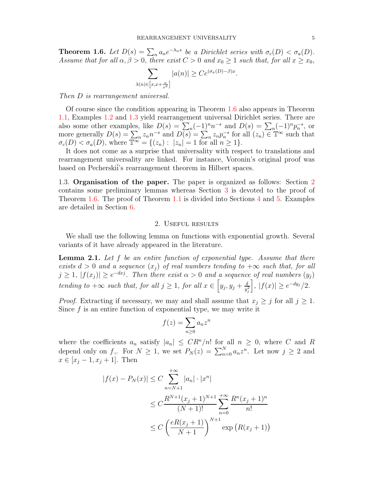**Theorem 1.6.** Let  $D(s) = \sum_n a_n e^{-\lambda_n s}$  be a Dirichlet series with  $\sigma_c(D) < \sigma_a(D)$ . Assume that for all  $\alpha, \beta > 0$ , there exist  $C > 0$  and  $x_0 \ge 1$  such that, for all  $x \ge x_0$ ,

$$
\sum_{\lambda(n)\in\left[x,x+\frac{\alpha}{x^2}\right]}|a(n)|\geq Ce^{(\sigma_a(D)-\beta)x}.
$$

Then D is rearrangement universal.

Of course since the condition appearing in Theorem 1.6 also appears in Theorem 1.1, Examples 1.2 and 1.3 yield rearrangement universal Dirichlet series. There are also some other examples, like  $D(s) = \sum_n (-1)^n n^{-s}$  and  $D(s) = \sum_n (-1)^n p_n^{-s}$ , or more generally  $D(s) = \sum_n z_n n^{-s}$  and  $D(s) = \sum_n z_n p_n^{-s}$  for all  $(z_n) \in \mathbb{T}^\infty$  such that  $\sigma_c(D) < \sigma_a(D)$ , where  $\mathbb{T}^{\infty} = \{(z_n) : |z_n| = 1 \text{ for all } n \geq 1\}.$ 

It does not come as a surprise that universality with respect to translations and rearrangement universality are linked. For instance, Voronin's original proof was based on Pecherskii's rearrangement theorem in Hilbert spaces.

1.3. Organisation of the paper. The paper is organized as follows: Section 2 contains some preliminary lemmas whereas Section 3 is devoted to the proof of Theorem 1.6. The proof of Theorem 1.1 is divided into Sections 4 and 5. Examples are detailed in Section 6.

#### 2. Useful results

We shall use the following lemma on functions with exponential growth. Several variants of it have already appeared in the literature.

**Lemma 2.1.** Let f be an entire function of exponential type. Assume that there exists  $d > 0$  and a sequence  $(x_i)$  of real numbers tending to  $+\infty$  such that, for all  $j \geq 1, |f(x_j)| \geq e^{-dxj}$ . Then there exist  $\alpha > 0$  and a sequence of real numbers  $(y_j)$ tending to  $+\infty$  such that, for all  $j \geq 1$ , for all  $x \in [y_j, y_j + \frac{\delta}{n^2}]$  $y_j^2$  $|f(x)| \geq e^{-dy_j}/2.$ 

*Proof.* Extracting if necessary, we may and shall assume that  $x_j \geq j$  for all  $j \geq 1$ . Since  $f$  is an entire function of exponential type, we may write it

$$
f(z) = \sum_{n\geq 0} a_n z^n
$$

where the coefficients  $a_n$  satisfy  $|a_n| \leq CR^n/n!$  for all  $n \geq 0$ , where C and R depend only on  $f_j$ . For  $N \geq 1$ , we set  $P_N(z) = \sum_{n=0}^N a_n z^n$ . Let now  $j \geq 2$  and  $x \in [x_j - 1, x_j + 1]$ . Then

$$
|f(x) - P_N(x)| \le C \sum_{n=N+1}^{+\infty} |a_n| \cdot |x^n|
$$
  
\n
$$
\le C \frac{R^{N+1}(x_j+1)^{N+1}}{(N+1)!} \sum_{n=0}^{+\infty} \frac{R^n(x_j+1)^n}{n!}
$$
  
\n
$$
\le C \left(\frac{eR(x_j+1)}{N+1}\right)^{N+1} \exp\left(R(x_j+1)\right)
$$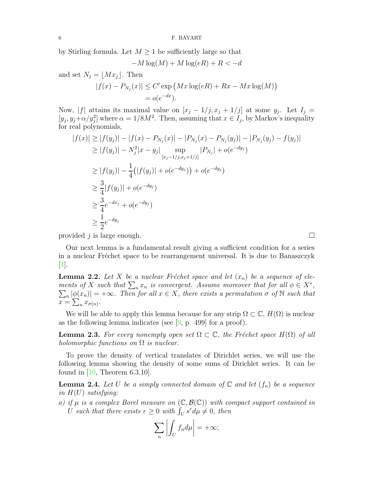by Stirling formula. Let  $M \geq 1$  be sufficiently large so that

$$
-M\log(M) + M\log(eR) + R < -d
$$

and set  $N_j = \lfloor Mx_j \rfloor$ . Then

$$
|f(x) - P_{N_j}(x)| \le C' \exp(Mx \log(eR) + Rx - Mx \log(M))
$$
  
=  $o(e^{-dx}).$ 

Now, |f| attains its maximal value on  $[x_j - 1/j, x_j + 1/j]$  at some  $y_j$ . Let  $I_j =$  $[y_j, y_j + \alpha/y_j^2]$  where  $\alpha = 1/8M^2$ . Then, assuming that  $x \in I_j$ , by Markov's inequality for real polynomials,

$$
|f(x)| \ge |f(y_j)| - |f(x) - P_{N_j}(x)| - |P_{N_j}(x) - P_{N_j}(y_j)| - |P_{N_j}(y_j) - f(y_j)|
$$
  
\n
$$
\ge |f(y_j)| - N_j^2 |x - y_j| \sup_{[x_j - 1/j, x_j + 1/j]} |P_{N_j}| + o(e^{-dy_j})
$$
  
\n
$$
\ge |f(y_j)| - \frac{1}{4} (|f(y_j)| + o(e^{-dy_j})) + o(e^{-dy_j})
$$
  
\n
$$
\ge \frac{3}{4} |f(y_j)| + o(e^{-dy_j})
$$
  
\n
$$
\ge \frac{3}{4} e^{-dx_j} + o(e^{-dy_j})
$$
  
\n
$$
\ge \frac{1}{2} e^{-dy_j}
$$

provided j is large enough.

Our next lemma is a fundamental result giving a sufficient condition for a series in a nuclear Fréchet space to be rearrangement universal. It is due to Banaszczyk  $\vert 1 \vert$ .

**Lemma 2.2.** Let X be a nuclear Fréchet space and let  $(x_n)$  be a sequence of elements of X such that  $\sum_n x_n$  is convergent. Assume moreover that for all  $\phi \in X^*$ ,  $\sum_n |\phi(x_n)| = +\infty$ . Then for all  $x \in X$ , there exists a permutation  $\sigma$  of  $\mathbb N$  such that  $x = \sum_{n} x_{\sigma(n)}.$ 

We will be able to apply this lemma because for any strip  $\Omega \subset \mathbb{C}$ ,  $H(\Omega)$  is nuclear as the following lemma indicates (see  $[9, p. 499]$  for a proof).

**Lemma 2.3.** For every nonempty open set  $\Omega \subset \mathbb{C}$ , the Fréchet space  $H(\Omega)$  of all holomorphic functions on  $\Omega$  is nuclear.

To prove the density of vertical translates of Dirichlet series, we will use the following lemma showing the density of some sums of Dirichlet series. It can be found in  $[10,$  Theorem 6.3.10].

**Lemma 2.4.** Let U be a simply connected domain of  $\mathbb{C}$  and let  $(f_n)$  be a sequence in  $H(U)$  satisfying:

a) if  $\mu$  is a complex Borel measure on  $(\mathbb{C}, \mathcal{B}(\mathbb{C}))$  with compact support contained in U such that there exists  $r \geq 0$  with  $\int_U s^r d\mu \neq 0$ , then

$$
\sum_{n}\left|\int_{U}f_{n}d\mu\right| = +\infty;
$$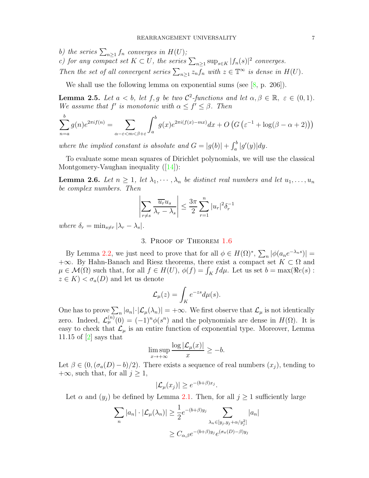b) the series  $\sum_{n\geq 1} f_n$  converges in  $H(U)$ ;

c) for any compact set  $K \subset U$ , the series  $\sum_{n\geq 1} \sup_{s\in K} |f_n(s)|^2$  converges. Then the set of all convergent series  $\sum_{n\geq 1} z_n f_n$  with  $z \in \mathbb{T}^\infty$  is dense in  $H(U)$ .

We shall use the following lemma on exponential sums (see  $[8, p. 206]$ ).

**Lemma 2.5.** Let  $a < b$ , let  $f, g$  be two  $C^2$ -functions and let  $\alpha, \beta \in \mathbb{R}, \varepsilon \in (0, 1)$ . We assume that  $f'$  is monotonic with  $\alpha \leq f' \leq \beta$ . Then

$$
\sum_{n=a}^{b} g(n)e^{2\pi i f(n)} = \sum_{\alpha-\varepsilon < m < \beta+\varepsilon} \int_{a}^{b} g(x)e^{2\pi i (f(x)-mx)} dx + O\left(G\left(\varepsilon^{-1} + \log(\beta-\alpha+2)\right)\right)
$$

where the implied constant is absolute and  $G = |g(b)| + \int_a^b |g'(y)| dy$ .

To evaluate some mean squares of Dirichlet polynomials, we will use the classical Montgomery-Vaughan inequality  $(|14|)$ :

**Lemma 2.6.** Let  $n \geq 1$ , let  $\lambda_1, \dots, \lambda_n$  be distinct real numbers and let  $u_1, \dots, u_n$ be complex numbers. Then

$$
\left| \sum_{r \neq s} \frac{\overline{u_r} u_s}{\lambda_r - \lambda_s} \right| \leq \frac{3\pi}{2} \sum_{r=1}^n |u_r|^2 \delta_r^{-1}
$$

where  $\delta_r = \min_{s \neq r} |\lambda_r - \lambda_s|.$ 

#### 3. Proof of Theorem 1.6

By Lemma 2.2, we just need to prove that for all  $\phi \in H(\Omega)^*$ ,  $\sum_n |\phi(a_n e^{-\lambda_n s})|$  =  $+\infty$ . By Hahn-Banach and Riesz theorems, there exist a compact set  $K \subset \Omega$  and  $\mu \in \mathcal{M}(\Omega)$  such that, for all  $f \in H(U)$ ,  $\phi(f) = \int_K f d\mu$ . Let us set  $b = \max(\Re e(s))$ :  $z \in K$  <  $\sigma_a(D)$  and let us denote

$$
\mathcal{L}_{\mu}(z) = \int_{K} e^{-zs} d\mu(s).
$$

One has to prove  $\sum_{n} |a_n| \cdot |\mathcal{L}_{\mu}(\lambda_n)| = +\infty$ . We first observe that  $\mathcal{L}_{\mu}$  is not identically zero. Indeed,  $\mathcal{L}_{\mu}^{(n)}(0) = (-1)^n \phi(s^n)$  and the polynomials are dense in  $H(\Omega)$ . It is easy to check that  $\mathcal{L}_{\mu}$  is an entire function of exponential type. Moreover, Lemma 11.15 of  $|2|$  says that

$$
\limsup_{x \to +\infty} \frac{\log |\mathcal{L}_{\mu}(x)|}{x} \ge -b.
$$

Let  $\beta \in (0, (\sigma_a(D) - b)/2)$ . There exists a sequence of real numbers  $(x_i)$ , tending to  $+\infty$ , such that, for all  $j \geq 1$ ,

$$
|\mathcal{L}_{\mu}(x_j)| \geq e^{-(b+\beta)x_j}.
$$

Let  $\alpha$  and  $(y_j)$  be defined by Lemma 2.1. Then, for all  $j \ge 1$  sufficiently large

$$
\sum_{n} |a_{n}| \cdot |\mathcal{L}_{\mu}(\lambda_{n})| \geq \frac{1}{2} e^{-(b+\beta)y_{j}} \sum_{\lambda_{n} \in [y_{j}, y_{j} + \alpha/y_{j}^{2}]} |a_{n}|
$$
  

$$
\geq C_{\alpha, \beta} e^{-(b+\beta)y_{j}} e^{(\sigma_{a}(D) - \beta)y_{j}}
$$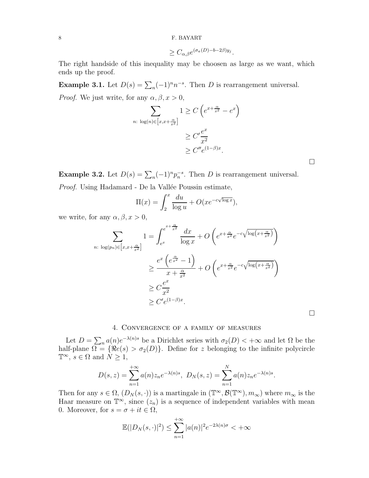$$
\geq C_{\alpha,\beta}e^{(\sigma_a(D)-b-2\beta)y_j}.
$$

The right handside of this inequality may be choosen as large as we want, which ends up the proof.

**Example 3.1.** Let  $D(s) = \sum_{n} (-1)^{n} n^{-s}$ . Then D is rearrangement universal. *Proof.* We just write, for any  $\alpha, \beta, x > 0$ ,

$$
\sum_{n:\ \log(n)\in\left[x,x+\frac{\alpha}{x^2}\right]} 1 \ge C\left(e^{x+\frac{\alpha}{x^2}}-e^x\right)
$$

$$
\ge C'\frac{e^x}{x^2}
$$

$$
\ge C''e^{(1-\beta)x}.
$$

**Example 3.2.** Let  $D(s) = \sum_{n} (-1)^n p_n^{-s}$ . Then D is rearrangement universal. Proof. Using Hadamard - De la Vallée Poussin estimate,

$$
\Pi(x) = \int_2^x \frac{du}{\log u} + O(xe^{-c\sqrt{\log x}}),
$$

we write, for any  $\alpha, \beta, x > 0$ ,

$$
\sum_{n:\ \log(p_n)\in\left[x,x+\frac{\alpha}{x^2}\right]} 1 = \int_{e^x}^{e^{x+\frac{\alpha}{x^2}}} \frac{dx}{\log x} + O\left(e^{x+\frac{\alpha}{x^2}}e^{-c\sqrt{\log\left(x+\frac{\alpha}{x^2}\right)}}\right)
$$
\n
$$
\geq \frac{e^x\left(e^{\frac{\alpha}{x^2}}-1\right)}{x+\frac{\alpha}{x^2}} + O\left(e^{x+\frac{\alpha}{x^2}}e^{-c\sqrt{\log\left(x+\frac{\alpha}{x^2}\right)}}\right)
$$
\n
$$
\geq C\frac{e^x}{x^2}
$$
\n
$$
\geq C'e^{(1-\beta)x}.
$$

## 4. Convergence of a family of measures

Let  $D = \sum_n a(n)e^{-\lambda(n)s}$  be a Dirichlet series with  $\sigma_2(D) < +\infty$  and let  $\Omega$  be the half-plane  $\Omega = {\Re e(s) > \sigma_2(D)}$ . Define for z belonging to the infinite polycircle  $\mathbb{T}^\infty$ ,  $s \in \Omega$  and  $N \geq 1$ ,

$$
D(s, z) = \sum_{n=1}^{+\infty} a(n) z_n e^{-\lambda(n)s}, \ D_N(s, z) = \sum_{n=1}^{N} a(n) z_n e^{-\lambda(n)s}.
$$

Then for any  $s \in \Omega$ ,  $(D_N(s, \cdot))$  is a martingale in  $(\mathbb{T}^\infty, \mathcal{B}(\mathbb{T}^\infty), m_\infty)$  where  $m_\infty$  is the Haar measure on  $\mathbb{T}^{\infty}$ , since  $(z_n)$  is a sequence of independent variables with mean 0. Moreover, for  $s = \sigma + it \in \Omega$ ,

$$
\mathbb{E}(|D_N(s,\cdot)|^2) \le \sum_{n=1}^{+\infty} |a(n)|^2 e^{-2\lambda(n)\sigma} < +\infty
$$

 $\Box$ 

 $\Box$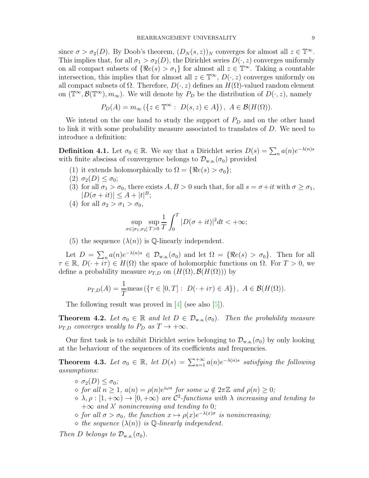since  $\sigma > \sigma_2(D)$ . By Doob's theorem,  $(D_N(s, z))_N$  converges for almost all  $z \in \mathbb{T}^\infty$ . This implies that, for all  $\sigma_1 > \sigma_2(D)$ , the Dirichlet series  $D(\cdot, z)$  converges uniformly on all compact subsets of  $\{\Re e(s) > \sigma_1\}$  for almost all  $z \in \mathbb{T}^\infty$ . Taking a countable intersection, this implies that for almost all  $z \in \mathbb{T}^{\infty}$ ,  $D(\cdot, z)$  converges uniformly on all compact subsets of  $\Omega$ . Therefore,  $D(\cdot, z)$  defines an  $H(\Omega)$ -valued random element on  $(\mathbb{T}^\infty, \mathcal{B}(\mathbb{T}^\infty), m_\infty)$ . We will denote by  $P_D$  be the distribution of  $D(\cdot, z)$ , namely

$$
P_D(A) = m_{\infty} (\{ z \in \mathbb{T}^{\infty} : D(s, z) \in A \}), A \in \mathcal{B}(H(\Omega)).
$$

We intend on the one hand to study the support of  $P_D$  and on the other hand to link it with some probability measure associated to translates of D. We need to introduce a definition:

**Definition 4.1.** Let  $\sigma_0 \in \mathbb{R}$ . We say that a Dirichlet series  $D(s) = \sum_n a(n)e^{-\lambda(n)s}$ with finite abscissa of convergence belongs to  $\mathcal{D}_{w.a.}(\sigma_0)$  provided

- (1) it extends holomorphically to  $\Omega = {\Re e(s) > \sigma_0};$
- $(2) \sigma_2(D) \leq \sigma_0;$
- (3) for all  $\sigma_1 > \sigma_0$ , there exists  $A, B > 0$  such that, for all  $s = \sigma + it$  with  $\sigma \geq \sigma_1$ ,  $|D(\sigma+it)| \leq A + |t|^B;$
- (4) for all  $\sigma_2 > \sigma_1 > \sigma_0$ ,

$$
\sup_{\sigma \in [\sigma_1, \sigma_2]} \sup_{T>0} \frac{1}{T} \int_0^T |D(\sigma+it)|^2 dt < +\infty;
$$

(5) the sequence  $(\lambda(n))$  is  $\mathbb Q$ -linearly independent.

Let  $D = \sum_n a(n)e^{-\lambda(n)s} \in \mathcal{D}_{w.a.}(\sigma_0)$  and let  $\Omega = {\Re e(s) > \sigma_0}.$  Then for all  $\tau \in \mathbb{R}, D(\cdot + i\tau) \in H(\Omega)$  the space of holomorphic functions on  $\Omega$ . For  $T > 0$ , we define a probability measure  $\nu_{T,D}$  on  $(H(\Omega), \mathcal{B}(H(\Omega)))$  by

$$
\nu_{T,D}(A) = \frac{1}{T} \text{meas} \left( \{ \tau \in [0, T] : D(\cdot + i\tau) \in A \} \right), A \in \mathcal{B}(H(\Omega)).
$$

The following result was proved in  $[4]$  (see also  $[5]$ ).

**Theorem 4.2.** Let  $\sigma_0 \in \mathbb{R}$  and let  $D \in \mathcal{D}_{w.a.}(\sigma_0)$ . Then the probability measure  $\nu_{T,D}$  converges weakly to  $P_D$  as  $T \to +\infty$ .

Our first task is to exhibit Dirichlet series belonging to  $\mathcal{D}_{w.a.}(\sigma_0)$  by only looking at the behaviour of the sequences of its coefficients and frequencies.

**Theorem 4.3.** Let  $\sigma_0 \in \mathbb{R}$ , let  $D(s) = \sum_{n=1}^{+\infty} a(n)e^{-\lambda(n)s}$  satisfying the following assumptions:

 $\diamond$   $\sigma_2(D) \leq \sigma_0$ ;  $\Diamond$  for all  $n \geq 1$ ,  $a(n) = \rho(n)e^{i\omega n}$  for some  $\omega \notin 2\pi \mathbb{Z}$  and  $\rho(n) \geq 0$ ;  $\phi \to \lambda, \rho : [1, +\infty) \to [0, +\infty)$  are  $\mathcal{C}^2$ -functions with  $\lambda$  increasing and tending to  $+\infty$  and  $\lambda'$  nonincreasing and tending to 0;  $\Diamond$  for all  $\sigma > \sigma_0$ , the function  $x \mapsto \rho(x)e^{-\lambda(x)\sigma}$  is nonincreasing;  $\Diamond$  the sequence  $(\lambda(n))$  is  $\mathbb{Q}$ -linearly independent.

Then D belongs to  $\mathcal{D}_{w.a.}(\sigma_0)$ .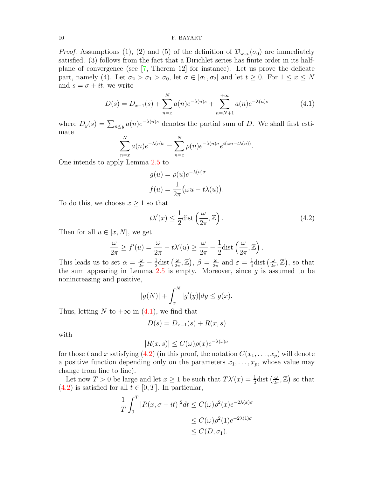*Proof.* Assumptions (1), (2) and (5) of the definition of  $\mathcal{D}_{w.a.}(\sigma_0)$  are immediately satisfied. (3) follows from the fact that a Dirichlet series has finite order in its halfplane of convergence (see [7, Therem 12] for instance). Let us prove the delicate part, namely (4). Let  $\sigma_2 > \sigma_1 > \sigma_0$ , let  $\sigma \in [\sigma_1, \sigma_2]$  and let  $t \geq 0$ . For  $1 \leq x \leq N$ and  $s = \sigma + it$ , we write

$$
D(s) = D_{x-1}(s) + \sum_{n=x}^{N} a(n)e^{-\lambda(n)s} + \sum_{n=N+1}^{+\infty} a(n)e^{-\lambda(n)s}
$$
(4.1)

where  $D_y(s) = \sum_{n \le y} a(n) e^{-\lambda(n)s}$  denotes the partial sum of D. We shall first estimate

$$
\sum_{n=x}^{N} a(n)e^{-\lambda(n)s} = \sum_{n=x}^{N} \rho(n)e^{-\lambda(n)\sigma}e^{i(\omega n - t\lambda(n))}.
$$

One intends to apply Lemma 2.5 to

$$
g(u) = \rho(u)e^{-\lambda(u)\sigma}
$$

$$
f(u) = \frac{1}{2\pi}(\omega u - t\lambda(u)).
$$

To do this, we choose  $x \geq 1$  so that

$$
t\lambda'(x) \le \frac{1}{2}\text{dist}\left(\frac{\omega}{2\pi}, \mathbb{Z}\right). \tag{4.2}
$$

Then for all  $u \in [x, N]$ , we get

$$
\frac{\omega}{2\pi} \ge f'(u) = \frac{\omega}{2\pi} - t\lambda'(u) \ge \frac{\omega}{2\pi} - \frac{1}{2}\text{dist}\left(\frac{\omega}{2\pi}, \mathbb{Z}\right).
$$

This leads us to set  $\alpha = \frac{\omega}{2\pi} - \frac{1}{2}$  $\frac{1}{2}$ dist  $\left(\frac{\omega}{2\tau}\right)$  $\frac{\omega}{2\pi}, \mathbb{Z}$ ),  $\beta = \frac{\omega}{2\pi}$  $\frac{\omega}{2\pi}$  and  $\varepsilon = \frac{1}{4}$  $\frac{1}{4}$ dist  $\left(\frac{\omega}{2\pi}\right)$  $(\frac{\omega}{2\pi}, \mathbb{Z}),$  so that the sum appearing in Lemma  $2.5$  is empty. Moreover, since  $g$  is assumed to be nonincreasing and positive,

$$
|g(N)| + \int_x^N |g'(y)| dy \le g(x).
$$

Thus, letting N to  $+\infty$  in (4.1), we find that

$$
D(s) = D_{x-1}(s) + R(x, s)
$$

with

$$
|R(x,s)| \le C(\omega)\rho(x)e^{-\lambda(x)\sigma}
$$

for those t and x satisfying (4.2) (in this proof, the notation  $C(x_1, \ldots, x_p)$  will denote a positive function depending only on the parameters  $x_1, \ldots, x_p$ , whose value may change from line to line).

Let now  $T > 0$  be large and let  $x \ge 1$  be such that  $T\lambda'(x) = \frac{1}{2}$ dist  $\left(\frac{\omega}{2\tau}\right)$  $\frac{\omega}{2\pi}, \mathbb{Z}$  so that  $(4.2)$  is satisfied for all  $t \in [0, T]$ . In particular,

$$
\frac{1}{T} \int_0^T |R(x, \sigma + it)|^2 dt \le C(\omega) \rho^2(x) e^{-2\lambda(x)\sigma}
$$
  
\n
$$
\le C(\omega) \rho^2(1) e^{-2\lambda(1)\sigma}
$$
  
\n
$$
\le C(D, \sigma_1).
$$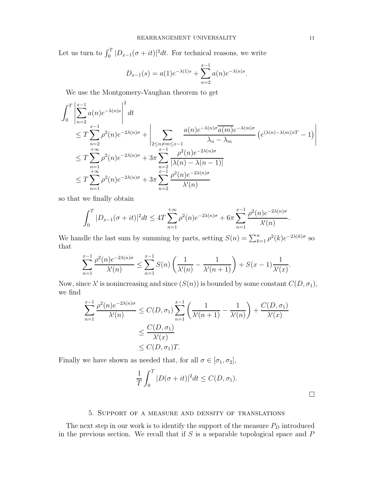Let us turn to  $\int_0^T |D_{x-1}(\sigma + it)|^2 dt$ . For technical reasons, we write

$$
D_{x-1}(s) = a(1)e^{-\lambda(1)s} + \sum_{n=2}^{x-1} a(n)e^{-\lambda(n)s}.
$$

We use the Montgomery-Vaughan theorem to get

$$
\int_{0}^{T} \left| \sum_{n=2}^{x-1} a(n)e^{-\lambda(n)s} \right|^{2} dt
$$
\n
$$
\leq T \sum_{n=2}^{x-1} \rho^{2}(n)e^{-2\lambda(n)\sigma} + \left| \sum_{2 \leq n \neq m \leq x-1} \frac{a(n)e^{-\lambda(n)\sigma} \overline{a(m)}e^{-\lambda(m)\sigma}}{\lambda_{n} - \lambda_{m}} \right( e^{(\lambda(n)-\lambda(m))iT} - 1) \right|
$$
\n
$$
\leq T \sum_{n=1}^{+\infty} \rho^{2}(n)e^{-2\lambda(n)\sigma} + 3\pi \sum_{\substack{n=2 \ n \neq n}}^{x-1} \frac{\rho^{2}(n)e^{-2\lambda(n)\sigma}}{|\lambda(n) - \lambda(n-1)|}
$$
\n
$$
\leq T \sum_{n=1}^{+\infty} \rho^{2}(n)e^{-2\lambda(n)\sigma} + 3\pi \sum_{n=2}^{x-1} \frac{\rho^{2}(n)e^{-2\lambda(n)\sigma}}{\lambda'(n)}
$$

so that we finally obtain

$$
\int_0^T |D_{x-1}(\sigma + it)|^2 dt \le 4T \sum_{n=1}^{+\infty} \rho^2(n) e^{-2\lambda(n)\sigma} + 6\pi \sum_{n=1}^{x-1} \frac{\rho^2(n) e^{-2\lambda(n)\sigma}}{\lambda'(n)}.
$$

We handle the last sum by summing by parts, setting  $S(n) = \sum_{k=1}^{n} \rho^2(k) e^{-2\lambda(k)\sigma}$  so that

$$
\sum_{n=1}^{x-1} \frac{\rho^2(n) e^{-2\lambda(n)\sigma}}{\lambda'(n)} \le \sum_{n=1}^{x-1} S(n) \left( \frac{1}{\lambda'(n)} - \frac{1}{\lambda'(n+1)} \right) + S(x-1) \frac{1}{\lambda'(x)}.
$$

Now, since  $\lambda'$  is nonincreasing and since  $(S(n))$  is bounded by some constant  $C(D, \sigma_1)$ , we find

$$
\sum_{n=1}^{x-1} \frac{\rho^2(n)e^{-2\lambda(n)\sigma}}{\lambda'(n)} \le C(D,\sigma_1) \sum_{n=1}^{x-1} \left( \frac{1}{\lambda'(n+1)} - \frac{1}{\lambda'(n)} \right) + \frac{C(D,\sigma_1)}{\lambda'(x)}
$$
  

$$
\le \frac{C(D,\sigma_1)}{\lambda'(x)}
$$
  

$$
\le C(D,\sigma_1)T.
$$

Finally we have shown as needed that, for all  $\sigma \in [\sigma_1, \sigma_2]$ ,

$$
\frac{1}{T} \int_0^T |D(\sigma + it)|^2 dt \le C(D, \sigma_1).
$$

 $\Box$ 

## 5. Support of a measure and density of translations

The next step in our work is to identify the support of the measure  $P_D$  introduced in the previous section. We recall that if  $S$  is a separable topological space and  $P$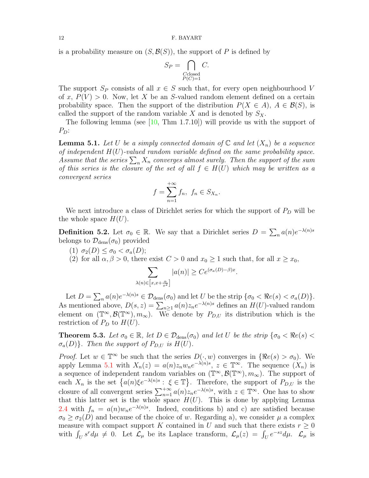is a probability measure on  $(S, \mathcal{B}(S))$ , the support of P is defined by

$$
S_P = \bigcap_{\substack{C \text{closed} \\ P(C)=1}} C.
$$

The support  $S_P$  consists of all  $x \in S$  such that, for every open neighbourhood V of x,  $P(V) > 0$ . Now, let X be an S-valued random element defined on a certain probability space. Then the support of the distribution  $P(X \in A)$ ,  $A \in \mathcal{B}(S)$ , is called the support of the random variable X and is denoted by  $S_X$ .

The following lemma (see  $[10, Thm 1.7.10]$ ) will provide us with the support of  $P_D$ :

**Lemma 5.1.** Let U be a simply connected domain of  $\mathbb{C}$  and let  $(X_n)$  be a sequence of independent  $H(U)$ -valued random variable defined on the same probability space. Assume that the series  $\sum_n X_n$  converges almost surely. Then the support of the sum of this series is the closure of the set of all  $f \in H(U)$  which may be written as a convergent series

$$
f = \sum_{n=1}^{+\infty} f_n, \ f_n \in S_{X_n}.
$$

We next introduce a class of Dirichlet series for which the support of  $P_D$  will be the whole space  $H(U)$ .

**Definition 5.2.** Let  $\sigma_0 \in \mathbb{R}$ . We say that a Dirichlet series  $D = \sum_n a(n)e^{-\lambda(n)s}$ belongs to  $\mathcal{D}_{\text{dens}}(\sigma_0)$  provided

(1)  $\sigma_2(D) \leq \sigma_0 < \sigma_a(D)$ ;

 $\lambda($ 

(2) for all  $\alpha, \beta > 0$ , there exist  $C > 0$  and  $x_0 \ge 1$  such that, for all  $x \ge x_0$ ,

$$
\sum_{n\geqslant\lbrack x,x+\frac{\alpha}{x^{2}}\rbrack}|a(n)|\geq Ce^{(\sigma_{a}(D)-\beta)x}.
$$

Let  $D = \sum_n a(n)e^{-\lambda(n)s} \in \mathcal{D}_{\text{dens}}(\sigma_0)$  and let U be the strip  $\{\sigma_0 < \Re e(s) < \sigma_a(D)\}.$ As mentioned above,  $D(s, z) = \sum_{n \geq 1} a(n) z_n e^{-\lambda(n)s}$  defines an  $H(U)$ -valued random element on  $(\mathbb{T}^{\infty}, \mathcal{B}(\mathbb{T}^{\infty}), m_{\infty})$ . We denote by  $P_{D,U}$  its distribution which is the restriction of  $P_D$  to  $H(U)$ .

**Theorem 5.3.** Let  $\sigma_0 \in \mathbb{R}$ , let  $D \in \mathcal{D}_{\text{dens}}(\sigma_0)$  and let U be the strip  $\{\sigma_0 < \Re e(s) < \sigma_0\}$  $\sigma_a(D)$ . Then the support of  $P_{D,U}$  is  $H(U)$ .

*Proof.* Let  $w \in \mathbb{T}^\infty$  be such that the series  $D(\cdot, w)$  converges in  $\{\Re e(s) > \sigma_0\}$ . We apply Lemma 5.1 with  $X_n(z) = a(n)z_nw_ne^{-\lambda(n)s}$ ,  $z \in \mathbb{T}^\infty$ . The sequence  $(X_n)$  is a sequence of independent random variables on  $(\mathbb{T}^\infty, \mathcal{B}(\mathbb{T}^\infty), m_\infty)$ . The support of each  $X_n$  is the set  $\{a(n)\xi e^{-\lambda(n)s}:\xi\in\mathbb{T}\}$ . Therefore, the support of  $P_{D,U}$  is the closure of all convergent series  $\sum_{n=1}^{+\infty} a(n)z_ne^{-\lambda(n)s}$ , with  $z \in \mathbb{T}^{\infty}$ . One has to show that this latter set is the whole space  $H(U)$ . This is done by applying Lemma 2.4 with  $f_n = a(n)w_ne^{-\lambda(n)s}$ . Indeed, conditions b) and c) are satisfied because  $\sigma_0 \geq \sigma_2(D)$  and because of the choice of w. Regarding a), we consider  $\mu$  a complex measure with compact support K contained in U and such that there exists  $r \geq 0$ with  $\int_U s^r d\mu \neq 0$ . Let  $\mathcal{L}_{\mu}$  be its Laplace transform,  $\mathcal{L}_{\mu}(z) = \int_U e^{-sz} d\mu$ .  $\mathcal{L}_{\mu}$  is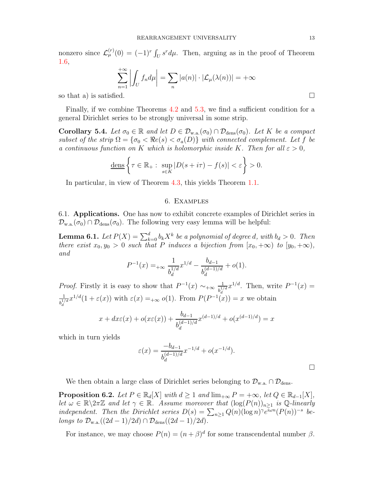nonzero since  $\mathcal{L}_{\mu}^{(r)}(0) = (-1)^r \int_U s^r d\mu$ . Then, arguing as in the proof of Theorem 1.6,

$$
\sum_{n=1}^{+\infty} \left| \int_U f_n d\mu \right| = \sum_n |a(n)| \cdot |\mathcal{L}_{\mu}(\lambda(n))| = +\infty
$$

so that a) is satisfied.  $\square$ 

Finally, if we combine Theorems 4.2 and 5.3, we find a sufficient condition for a general Dirichlet series to be strongly universal in some strip.

**Corollary 5.4.** Let  $\sigma_0 \in \mathbb{R}$  and let  $D \in \mathcal{D}_{w.a.}(\sigma_0) \cap \mathcal{D}_{dens}(\sigma_0)$ . Let K be a compact subset of the strip  $\Omega = {\sigma_0 < \Re e(s) < \sigma_a(D)}$  with connected complement. Let f be a continuous function on K which is holomorphic inside K. Then for all  $\varepsilon > 0$ ,

$$
\underline{\text{dens}}\left\{\tau\in\mathbb{R}_+:\ \sup_{s\in K}|D(s+i\tau)-f(s)|<\varepsilon\right\}>0.
$$

In particular, in view of Theorem 4.3, this yields Theorem 1.1.

#### 6. Examples

6.1. Applications. One has now to exhibit concrete examples of Dirichlet series in  $\mathcal{D}_{w,a}(\sigma_0) \cap \mathcal{D}_{dens}(\sigma_0)$ . The following very easy lemma will be helpful:

**Lemma 6.1.** Let  $P(X) = \sum_{k=0}^{d} b_k X^k$  be a polynomial of degree d, with  $b_d > 0$ . Then there exist  $x_0, y_0 > 0$  such that P induces a bijection from  $[x_0, +\infty)$  to  $[y_0, +\infty)$ , and

$$
P^{-1}(x) =_{+\infty} \frac{1}{b_d^{1/d}} x^{1/d} - \frac{b_{d-1}}{b_d^{(d-1)/d}} + o(1).
$$

*Proof.* Firstly it is easy to show that  $P^{-1}(x) \sim_{+\infty} \frac{1}{b^{1/2}}$  $\frac{1}{b_d^{1/d}} x^{1/d}$ . Then, write  $P^{-1}(x) =$  $\frac{1}{2}x^{1/d}(1+\varepsilon(x))$  with  $\varepsilon(x) = o(1)$  From  $P(P^{-1}(x))$  $\frac{1}{b_d^{1/d}}x^{1/d}(1+\varepsilon(x))$  with  $\varepsilon(x) = +\infty$  o(1). From  $P(P^{-1}(x)) = x$  we obtain

$$
x + dx\varepsilon(x) + o(x\varepsilon(x)) + \frac{b_{d-1}}{b_d^{(d-1)/d}} x^{(d-1)/d} + o(x^{(d-1)/d}) = x
$$

which in turn yields

$$
\varepsilon(x) = \frac{-b_{d-1}}{b_d^{(d-1)/d}} x^{-1/d} + o(x^{-1/d}).
$$

We then obtain a large class of Dirichlet series belonging to  $\mathcal{D}_{w.a.} \cap \mathcal{D}_{dens}$ .

**Proposition 6.2.** Let  $P \in \mathbb{R}_d[X]$  with  $d \geq 1$  and  $\lim_{+\infty} P = +\infty$ , let  $Q \in \mathbb{R}_{d-1}[X]$ , let  $\omega \in \mathbb{R} \backslash 2\pi \mathbb{Z}$  and let  $\gamma \in \mathbb{R}$ . Assume moreover that  $(\log(P(n))_{n\geq 1}$  is Q-linearly independent. Then the Dirichlet series  $D(s) = \sum_{n\geq 1} Q(n) (\log n)^{\gamma} e^{i\omega n} (P(n))^{-s}$  belongs to  $\mathcal{D}_{w.a.}((2d-1)/2d) \cap \mathcal{D}_{dens}((2d-1)/2d)$ .

For instance, we may choose  $P(n) = (n + \beta)^d$  for some transcendental number  $\beta$ .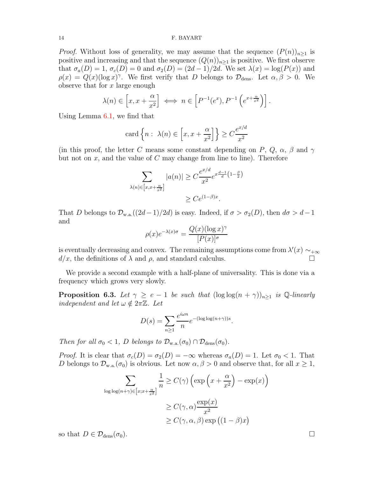*Proof.* Without loss of generality, we may assume that the sequence  $(P(n))_{n\geq 1}$  is positive and increasing and that the sequence  $(Q(n))_{n\geq 1}$  is positive. We first observe that  $\sigma_a(D) = 1$ ,  $\sigma_c(D) = 0$  and  $\sigma_2(D) = (2d-1)/2d$ . We set  $\lambda(x) = \log(P(x))$  and  $\rho(x) = Q(x) (\log x)^\gamma$ . We first verify that D belongs to  $\mathcal{D}_{\text{dens}}$ . Let  $\alpha, \beta > 0$ . We observe that for  $x$  large enough

$$
\lambda(n) \in \left[x, x + \frac{\alpha}{x^2}\right] \iff n \in \left[P^{-1}(e^x), P^{-1}\left(e^{x + \frac{\alpha}{x^2}}\right)\right].
$$

Using Lemma 6.1, we find that

$$
\operatorname{card}\left\{n : \lambda(n) \in \left[x, x + \frac{\alpha}{x^2}\right]\right\} \ge C \frac{e^{x/d}}{x^2}
$$

(in this proof, the letter C means some constant depending on P, Q,  $\alpha$ ,  $\beta$  and  $\gamma$ but not on  $x$ , and the value of  $C$  may change from line to line). Therefore

$$
\sum_{\lambda(n)\in\left[x,x+\frac{\alpha}{x^2}\right]} |a(n)| \geq C \frac{e^{x/d}}{x^2} e^{x\frac{d-1}{d}\left(1-\frac{\beta}{2}\right)}
$$

$$
\geq Ce^{(1-\beta)x}.
$$

That D belongs to  $\mathcal{D}_{w.a.}((2d-1)/2d)$  is easy. Indeed, if  $\sigma > \sigma_2(D)$ , then  $d\sigma > d-1$ and

$$
\rho(x)e^{-\lambda(x)\sigma} = \frac{Q(x)(\log x)^{\gamma}}{[P(x)]^{\sigma}}
$$

is eventually decreasing and convex. The remaining assumptions come from  $\lambda'(x) \sim_{+\infty}$  $d/x$ , the definitions of  $\lambda$  and  $\rho$ , and standard calculus.

We provide a second example with a half-plane of universality. This is done via a frequency which grows very slowly.

**Proposition 6.3.** Let  $\gamma \geq e-1$  be such that  $(\log \log(n+\gamma))_{n\geq 1}$  is Q-linearly independent and let  $\omega \notin 2\pi \mathbb{Z}$ . Let

$$
D(s) = \sum_{n\geq 1} \frac{e^{i\omega n}}{n} e^{-(\log \log(n+\gamma))s}.
$$

Then for all  $\sigma_0 < 1$ , D belongs to  $\mathcal{D}_{w.a.}(\sigma_0) \cap \mathcal{D}_{dens}(\sigma_0)$ .

*Proof.* It is clear that  $\sigma_c(D) = \sigma_2(D) = -\infty$  whereas  $\sigma_a(D) = 1$ . Let  $\sigma_0 < 1$ . That D belongs to  $\mathcal{D}_{w.a.}(\sigma_0)$  is obvious. Let now  $\alpha, \beta > 0$  and observe that, for all  $x \geq 1$ ,

$$
\sum_{\log \log(n+\gamma)\in [x;x+\frac{\alpha}{x^2}]} \frac{1}{n} \ge C(\gamma) \left( \exp\left(x + \frac{\alpha}{x^2}\right) - \exp(x) \right)
$$

$$
\ge C(\gamma, \alpha) \frac{\exp(x)}{x^2}
$$

$$
\ge C(\gamma, \alpha, \beta) \exp\left((1 - \beta)x\right)
$$

so that  $D \in \mathcal{D}_{\text{dens}}(\sigma_0)$ .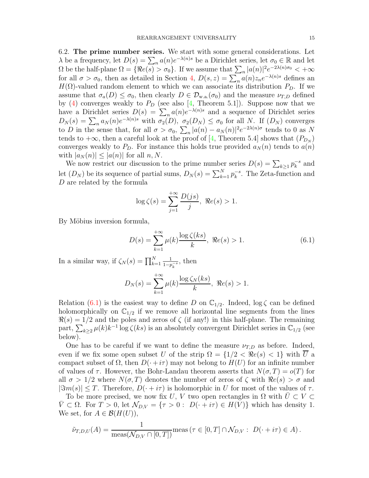6.2. The prime number series. We start with some general considerations. Let  $\lambda$  be a frequency, let  $D(s) = \sum_n a(n)e^{-\lambda(n)s}$  be a Dirichlet series, let  $\sigma_0 \in \mathbb{R}$  and let  $\Omega$  be the half-plane  $\Omega = \{ \Re e(s) > \sigma_0 \}$ . If we assume that  $\sum_n |a(n)|^2 e^{-2\lambda(n)\sigma_0} < +\infty$ for all  $\sigma > \sigma_0$ , then as detailed in Section 4,  $D(s, z) = \sum_n a(n)z_n e^{-\lambda(n)s}$  defines an  $H(\Omega)$ -valued random element to which we can associate its distribution  $P_D$ . If we assume that  $\sigma_a(D) \leq \sigma_0$ , then clearly  $D \in \mathcal{D}_{w.a.}(\sigma_0)$  and the measure  $\nu_{T,D}$  defined by (4) converges weakly to  $P_D$  (see also [4, Theorem 5.1]). Suppose now that we have a Dirichlet series  $D(s) = \sum_n a(n)e^{-\lambda(n)s}$  and a sequence of Dirichlet series  $D_N(s) = \sum_n a_N(n) e^{-\lambda(n)s}$  with  $\sigma_2(D)$ ,  $\sigma_2(D_N) \leq \sigma_0$  for all N. If  $(D_N)$  converges to D in the sense that, for all  $\sigma > \sigma_0$ ,  $\sum_n |a(n) - a_N(n)|^2 e^{-2\lambda(n)\sigma}$  tends to 0 as N tends to  $+\infty$ , then a careful look at the proof of [4, Theorem 5.4] shows that  $(P_{D_N})$ converges weakly to  $P_D$ . For instance this holds true provided  $a_N(n)$  tends to  $a(n)$ with  $|a_N(n)| \leq |a(n)|$  for all n, N.

We now restrict our discussion to the prime number series  $D(s) = \sum_{k \geq 1} p_k^{-s}$  and Let  $(D_N)$  be its sequence of partial sums,  $D_N(s) = \sum_{k=1}^N p_k^{-s}$ . The Zeta-function and D are related by the formula

$$
\log \zeta(s) = \sum_{j=1}^{+\infty} \frac{D(js)}{j}, \ \Re e(s) > 1.
$$

By Möbius inversion formula,

$$
D(s) = \sum_{k=1}^{+\infty} \mu(k) \frac{\log \zeta(ks)}{k}, \ \Re e(s) > 1.
$$
 (6.1)

In a similar way, if  $\zeta_N(s) = \prod_{k=1}^N$ 1  $\frac{1}{1-p_k^{-s}}$ , then

$$
D_N(s) = \sum_{k=1}^{+\infty} \mu(k) \frac{\log \zeta_N(ks)}{k}, \ \Re e(s) > 1.
$$

Relation (6.1) is the easiest way to define D on  $\mathbb{C}_{1/2}$ . Indeed,  $\log \zeta$  can be defined holomorphically on  $\mathbb{C}_{1/2}$  if we remove all horizontal line segments from the lines  $\Re(s) = 1/2$  and the poles and zeros of  $\zeta$  (if any!) in this half-plane. The remaining part,  $\sum_{k\geq 2} \mu(k)k^{-1} \log \zeta(ks)$  is an absolutely convergent Dirichlet series in  $\mathbb{C}_{1/2}$  (see below).

One has to be careful if we want to define the measure  $\nu_{T,D}$  as before. Indeed, even if we fix some open subset U of the strip  $\Omega = \{1/2 < \Re e(s) < 1\}$  with U a compact subset of  $\Omega$ , then  $D(\cdot + i\tau)$  may not belong to  $H(U)$  for an infinite number of values of  $\tau$ . However, the Bohr-Landau theorem asserts that  $N(\sigma, T) = o(T)$  for all  $\sigma > 1/2$  where  $N(\sigma, T)$  denotes the number of zeros of  $\zeta$  with  $\Re e(s) > \sigma$  and  $|\Im m(s)| \leq T$ . Therefore,  $D(\cdot + i\tau)$  is holomorphic in U for most of the values of  $\tau$ .

To be more precised, we now fix U, V two open rectangles in  $\Omega$  with  $U \subset V \subset$  $V \subset \Omega$ . For  $T > 0$ , let  $\mathcal{N}_{D,V} = {\tau > 0 : D(\cdot + i\tau) \in H(V)}$  which has density 1. We set, for  $A \in \mathcal{B}(H(U))$ ,

$$
\tilde{\nu}_{T,D,U}(A) = \frac{1}{\text{meas}(\mathcal{N}_{D,V} \cap [0,T])} \text{meas} \left(\tau \in [0,T] \cap \mathcal{N}_{D,V} : D(\cdot + i\tau) \in A\right).
$$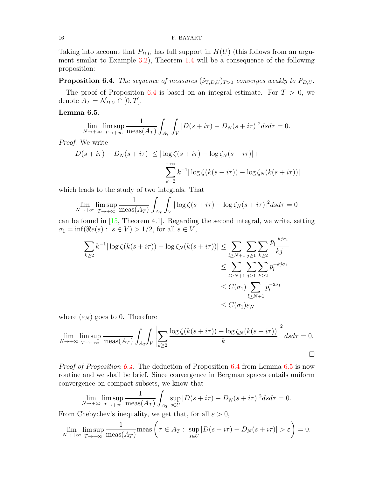Taking into account that  $P_{D,U}$  has full support in  $H(U)$  (this follows from an argument similar to Example 3.2), Theorem 1.4 will be a consequence of the following proposition:

**Proposition 6.4.** The sequence of measures  $(\tilde{\nu}_{T,D,U})_{T>0}$  converges weakly to  $P_{D,U}$ .

The proof of Proposition 6.4 is based on an integral estimate. For  $T > 0$ , we denote  $A_T = \mathcal{N}_{D,V} \cap [0,T]$ .

## Lemma 6.5.

$$
\lim_{N \to +\infty} \limsup_{T \to +\infty} \frac{1}{\text{meas}(A_T)} \int_{A_T} \int_V |D(s+i\tau) - D_N(s+i\tau)|^2 ds d\tau = 0.
$$

Proof. We write

$$
|D(s+i\tau) - D_N(s+i\tau)| \leq |\log \zeta(s+i\tau) - \log \zeta_N(s+i\tau)| +
$$
  

$$
\sum_{k=2}^{+\infty} k^{-1} |\log \zeta(k(s+i\tau)) - \log \zeta_N(k(s+i\tau))|
$$

which leads to the study of two integrals. That

$$
\lim_{N \to +\infty} \lim_{T \to +\infty} \frac{1}{\text{meas}(A_T)} \int_{A_T} \int_V |\log \zeta(s + i\tau) - \log \zeta_N(s + i\tau)|^2 ds d\tau = 0
$$

can be found in [15, Theorem 4.1]. Regarding the second integral, we write, setting  $\sigma_1 = \inf(\Re e(s) : s \in V) > 1/2$ , for all  $s \in V$ ,

$$
\sum_{k\geq 2} k^{-1} |\log \zeta(k(s+i\tau)) - \log \zeta_N(k(s+i\tau))| \leq \sum_{l\geq N+1} \sum_{j\geq 1} \sum_{k\geq 2} \frac{p_l^{-kj\sigma_1}}{kj}
$$
  

$$
\leq \sum_{l\geq N+1} \sum_{j\geq 1} \sum_{k\geq 2} p_l^{-kj\sigma_1}
$$
  

$$
\leq C(\sigma_1) \sum_{l\geq N+1} p_l^{-2\sigma_1}
$$
  

$$
\leq C(\sigma_1) \sum_{l\geq N+1} p_l^{-2\sigma_1}
$$

where  $(\varepsilon_N)$  goes to 0. Therefore

$$
\lim_{N \to +\infty} \limsup_{T \to +\infty} \frac{1}{\text{meas}(A_T)} \int_{A_T} \left| \sum_{k \ge 2} \frac{\log \zeta(k(s + i\tau)) - \log \zeta_N(k(s + i\tau))}{k} \right|^2 ds d\tau = 0.
$$

*Proof of Proposition 6.4.* The deduction of Proposition 6.4 from Lemma 6.5 is now routine and we shall be brief. Since convergence in Bergman spaces entails uniform convergence on compact subsets, we know that

$$
\lim_{N \to +\infty} \lim_{T \to +\infty} \frac{1}{\text{meas}(A_T)} \int_{A_T} \sup_{s \in U} |D(s + i\tau) - D_N(s + i\tau)|^2 ds d\tau = 0.
$$

From Chebychev's inequality, we get that, for all  $\varepsilon > 0$ ,

$$
\lim_{N \to +\infty} \limsup_{T \to +\infty} \frac{1}{\text{meas}(A_T)} \text{meas}\left(\tau \in A_T : \sup_{s \in U} |D(s + i\tau) - D_N(s + i\tau)| > \varepsilon\right) = 0.
$$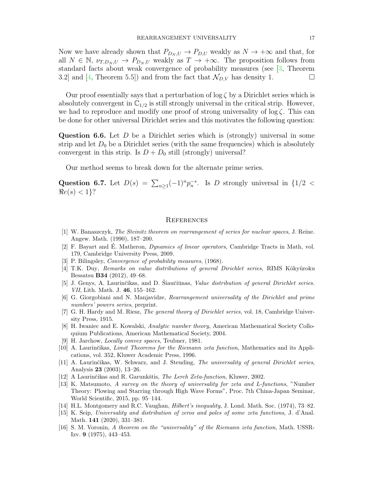Now we have already shown that  $P_{D_N, U} \to P_{D, U}$  weakly as  $N \to +\infty$  and that, for all  $N \in \mathbb{N}$ ,  $\nu_{T,D_N,U} \to P_{D_N,U}$  weakly as  $T \to +\infty$ . The proposition follows from standard facts about weak convergence of probability measures (see [3, Theorem 3.2] and [4, Theorem 5.5]) and from the fact that  $\mathcal{N}_{D,V}$  has density 1.

Our proof essentially says that a perturbation of  $\log \zeta$  by a Dirichlet series which is absolutely convergent in  $\mathbb{C}_{1/2}$  is still strongly universal in the critical strip. However, we had to reproduce and modify one proof of strong universality of  $\log \zeta$ . This can be done for other universal Dirichlet series and this motivates the following question:

**Question 6.6.** Let  $D$  be a Dirichlet series which is (strongly) universal in some strip and let  $D_0$  be a Dirichlet series (with the same frequencies) which is absolutely convergent in this strip. Is  $D + D_0$  still (strongly) universal?

Our method seems to break down for the alternate prime series.

Question 6.7. Let  $D(s) = \sum_{n\geq 1} (-1)^n p_n^{-s}$ . Is D strongly universal in  $\{1/2 < \infty\}$  $\Re e(s) < 1$ ?

#### **REFERENCES**

- [1] W. Banaszczyk, The Steinitz theorem on rearrangement of series for nuclear spaces, J. Reine. Angew. Math. (1990), 187–200.
- [2] F. Bayart and É. Matheron, *Dynamics of linear operators*, Cambridge Tracts in Math, vol. 179, Cambridge University Press, 2009.
- [3] P. Bilingsley, Convergence of probability measures, (1968).
- [4] T.K. Duy, Remarks on value distributions of general Dirichlet series, RIMS Kôkyûroku Bessatsu B34 (2012), 49–68.
- [5] J. Genys, A. Laurinčikas, and D. Siaučiūnas, *Value distribution of general Dirichlet series*. VII, Lith. Math. J. 46, 155–162.
- [6] G. Giorgobiani and N. Manjavidze, Rearrangement universality of the Dirichlet and prime numbers' powers series, preprint.
- [7] G. H. Hardy and M. Riesz, The general theory of Dirichlet series, vol. 18, Cambridge University Press, 1915.
- [8] H. Iwaniec and E. Kowalski, Analytic number theory, American Mathematical Society Colloquium Publications, American Mathematical Society, 2004.
- [9] H. Jarchow, Locally convex spaces, Teubner, 1981.
- [10] A. Laurinčikas, Limit Theorems for the Riemann zeta function, Mathematics and its Applications, vol. 352, Kluwer Academic Press, 1996.
- [11] A. Laurinčikas, W. Schwarz, and J. Steuding, The universality of general Dirichlet series, Analysis 23 (2003), 13–26.
- [12] A Laurinčikas and R. Garunkštis, *The Lerch Zeta-function*, Kluwer, 2002.
- [13] K. Matsumoto, A survey on the theory of universality for zeta and L-functions, "Number Theory: Plowing and Starring through High Wave Forms", Proc. 7th China-Japan Seminar, World Scientific, 2015, pp. 95–144.
- [14] H.L. Montgomery and R.C. Vaughan, Hilbert's inequality, J. Lond. Math. Soc. (1974), 73–82.
- [15] K. Seip, Universality and distribution of zeros and poles of some zeta functions, J. d'Anal. Math. 141 (2020), 331–381.
- [16] S. M. Voronin, A theorem on the "universality" of the Riemann zeta function, Math. USSR-Izv. 9 (1975), 443–453.